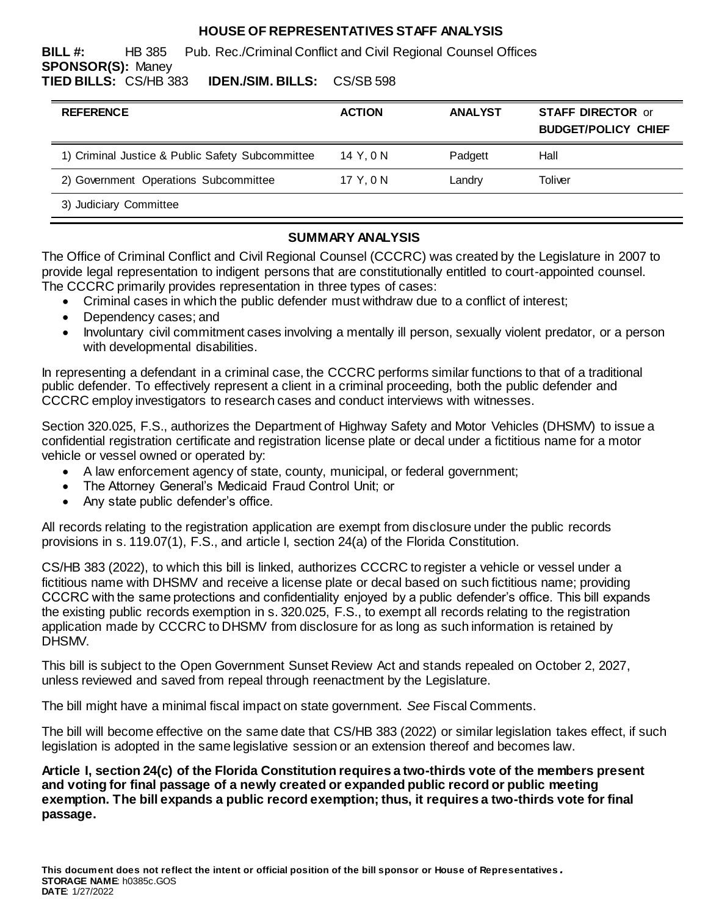## **HOUSE OF REPRESENTATIVES STAFF ANALYSIS**

**BILL #:** HB 385 Pub. Rec./Criminal Conflict and Civil Regional Counsel Offices **SPONSOR(S):** Maney **TIED BILLS:** CS/HB 383 **IDEN./SIM. BILLS:** CS/SB 598

| <b>REFERENCE</b>                                 | <b>ACTION</b> | <b>ANALYST</b> | <b>STAFF DIRECTOR or</b><br><b>BUDGET/POLICY CHIEF</b> |
|--------------------------------------------------|---------------|----------------|--------------------------------------------------------|
| 1) Criminal Justice & Public Safety Subcommittee | 14 Y.ON       | Padgett        | Hall                                                   |
| 2) Government Operations Subcommittee            | 17 Y.ON       | Landry         | Toliver                                                |
| 3) Judiciary Committee                           |               |                |                                                        |

## **SUMMARY ANALYSIS**

The Office of Criminal Conflict and Civil Regional Counsel (CCCRC) was created by the Legislature in 2007 to provide legal representation to indigent persons that are constitutionally entitled to court-appointed counsel. The CCCRC primarily provides representation in three types of cases:

- Criminal cases in which the public defender must withdraw due to a conflict of interest;
- Dependency cases; and
- Involuntary civil commitment cases involving a mentally ill person, sexually violent predator, or a person with developmental disabilities.

In representing a defendant in a criminal case, the CCCRC performs similar functions to that of a traditional public defender. To effectively represent a client in a criminal proceeding, both the public defender and CCCRC employ investigators to research cases and conduct interviews with witnesses.

Section 320.025, F.S., authorizes the Department of Highway Safety and Motor Vehicles (DHSMV) to issue a confidential registration certificate and registration license plate or decal under a fictitious name for a motor vehicle or vessel owned or operated by:

- A law enforcement agency of state, county, municipal, or federal government;
- The Attorney General's Medicaid Fraud Control Unit; or
- Any state public defender's office.

All records relating to the registration application are exempt from disclosure under the public records provisions in s. 119.07(1), F.S., and article I, section 24(a) of the Florida Constitution.

CS/HB 383 (2022), to which this bill is linked, authorizes CCCRC to register a vehicle or vessel under a fictitious name with DHSMV and receive a license plate or decal based on such fictitious name; providing CCCRC with the same protections and confidentiality enjoyed by a public defender's office. This bill expands the existing public records exemption in s. 320.025, F.S., to exempt all records relating to the registration application made by CCCRC to DHSMV from disclosure for as long as such information is retained by DHSMV.

This bill is subject to the Open Government Sunset Review Act and stands repealed on October 2, 2027, unless reviewed and saved from repeal through reenactment by the Legislature.

The bill might have a minimal fiscal impact on state government. *See* Fiscal Comments.

The bill will become effective on the same date that CS/HB 383 (2022) or similar legislation takes effect, if such legislation is adopted in the same legislative session or an extension thereof and becomes law.

**Article I, section 24(c) of the Florida Constitution requires a two-thirds vote of the members present and voting for final passage of a newly created or expanded public record or public meeting exemption. The bill expands a public record exemption; thus, it requires a two-thirds vote for final passage.**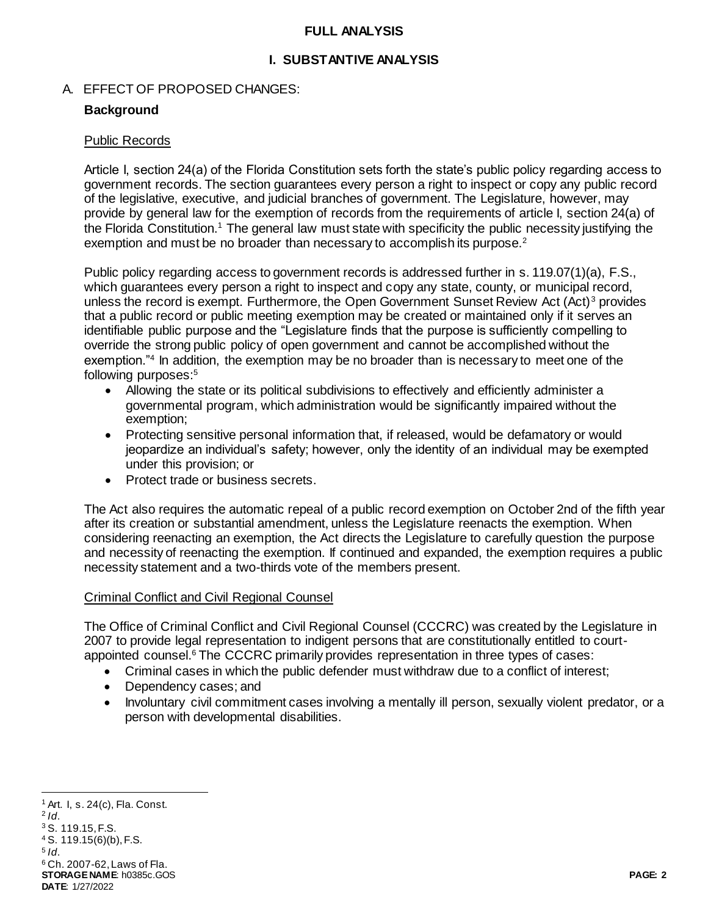#### **FULL ANALYSIS**

### **I. SUBSTANTIVE ANALYSIS**

#### A. EFFECT OF PROPOSED CHANGES:

#### **Background**

#### Public Records

Article I, section 24(a) of the Florida Constitution sets forth the state's public policy regarding access to government records. The section guarantees every person a right to inspect or copy any public record of the legislative, executive, and judicial branches of government. The Legislature, however, may provide by general law for the exemption of records from the requirements of article I, section 24(a) of the Florida Constitution.<sup>1</sup> The general law must state with specificity the public necessity justifying the exemption and must be no broader than necessary to accomplish its purpose.<sup>2</sup>

Public policy regarding access to government records is addressed further in s. 119.07(1)(a), F.S., which guarantees every person a right to inspect and copy any state, county, or municipal record, unless the record is exempt. Furthermore, the Open Government Sunset Review Act (Act)<sup>3</sup> provides that a public record or public meeting exemption may be created or maintained only if it serves an identifiable public purpose and the "Legislature finds that the purpose is sufficiently compelling to override the strong public policy of open government and cannot be accomplished without the exemption."<sup>4</sup> In addition, the exemption may be no broader than is necessary to meet one of the following purposes:<sup>5</sup>

- Allowing the state or its political subdivisions to effectively and efficiently administer a governmental program, which administration would be significantly impaired without the exemption;
- Protecting sensitive personal information that, if released, would be defamatory or would jeopardize an individual's safety; however, only the identity of an individual may be exempted under this provision; or
- Protect trade or business secrets.

The Act also requires the automatic repeal of a public record exemption on October 2nd of the fifth year after its creation or substantial amendment, unless the Legislature reenacts the exemption. When considering reenacting an exemption, the Act directs the Legislature to carefully question the purpose and necessity of reenacting the exemption. If continued and expanded, the exemption requires a public necessity statement and a two-thirds vote of the members present.

#### Criminal Conflict and Civil Regional Counsel

The Office of Criminal Conflict and Civil Regional Counsel (CCCRC) was created by the Legislature in 2007 to provide legal representation to indigent persons that are constitutionally entitled to courtappointed counsel.<sup>6</sup> The CCCRC primarily provides representation in three types of cases:

- Criminal cases in which the public defender must withdraw due to a conflict of interest;
- Dependency cases; and
- Involuntary civil commitment cases involving a mentally ill person, sexually violent predator, or a person with developmental disabilities.

**STORAGE NAME**: h0385c.GOS **PAGE: 2 DATE**: 1/27/2022 <sup>1</sup> Art. I, s. 24(c), Fla. Const. 2 *Id*. <sup>3</sup> S. 119.15, F.S. <sup>4</sup> S. 119.15(6)(b), F.S. 5 *Id*. <sup>6</sup> Ch. 2007-62, Laws of Fla.

l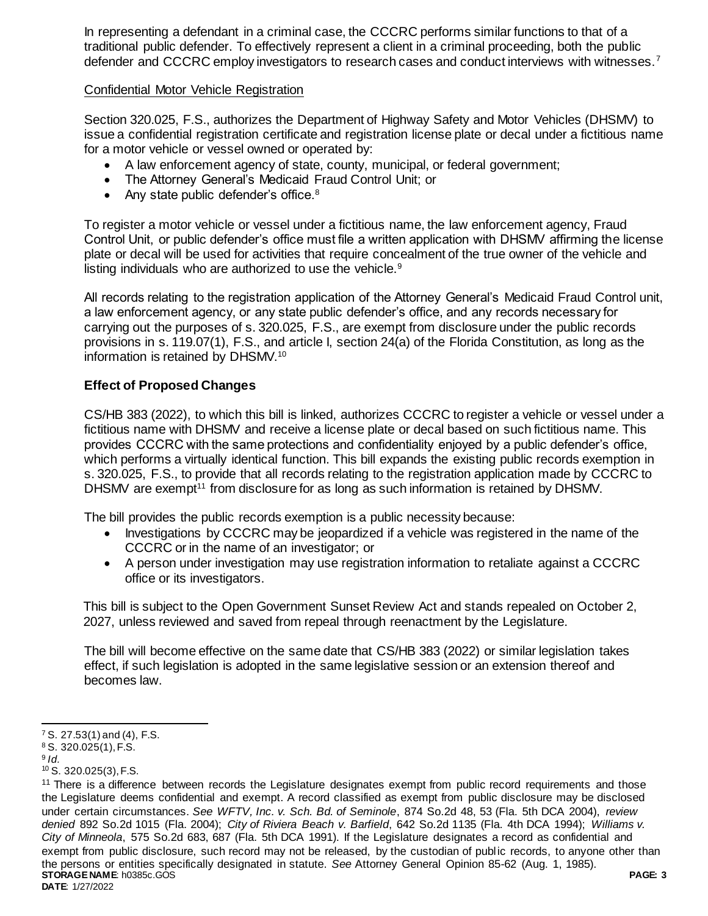In representing a defendant in a criminal case, the CCCRC performs similar functions to that of a traditional public defender. To effectively represent a client in a criminal proceeding, both the public defender and CCCRC employ investigators to research cases and conduct interviews with witnesses.<sup>7</sup>

## Confidential Motor Vehicle Registration

Section 320.025, F.S., authorizes the Department of Highway Safety and Motor Vehicles (DHSMV) to issue a confidential registration certificate and registration license plate or decal under a fictitious name for a motor vehicle or vessel owned or operated by:

- A law enforcement agency of state, county, municipal, or federal government;
- The Attorney General's Medicaid Fraud Control Unit; or
- Any state public defender's office. $8$

To register a motor vehicle or vessel under a fictitious name, the law enforcement agency, Fraud Control Unit, or public defender's office must file a written application with DHSMV affirming the license plate or decal will be used for activities that require concealment of the true owner of the vehicle and listing individuals who are authorized to use the vehicle.<sup>9</sup>

All records relating to the registration application of the Attorney General's Medicaid Fraud Control unit, a law enforcement agency, or any state public defender's office, and any records necessary for carrying out the purposes of s. 320.025, F.S., are exempt from disclosure under the public records provisions in s. 119.07(1), F.S., and article I, section 24(a) of the Florida Constitution, as long as the information is retained by DHSMV.<sup>10</sup>

# **Effect of Proposed Changes**

CS/HB 383 (2022), to which this bill is linked, authorizes CCCRC to register a vehicle or vessel under a fictitious name with DHSMV and receive a license plate or decal based on such fictitious name. This provides CCCRC with the same protections and confidentiality enjoyed by a public defender's office, which performs a virtually identical function. This bill expands the existing public records exemption in s. 320.025, F.S., to provide that all records relating to the registration application made by CCCRC to DHSMV are exempt<sup>11</sup> from disclosure for as long as such information is retained by DHSMV.

The bill provides the public records exemption is a public necessity because:

- Investigations by CCCRC may be jeopardized if a vehicle was registered in the name of the CCCRC or in the name of an investigator; or
- A person under investigation may use registration information to retaliate against a CCCRC office or its investigators.

This bill is subject to the Open Government Sunset Review Act and stands repealed on October 2, 2027, unless reviewed and saved from repeal through reenactment by the Legislature.

The bill will become effective on the same date that CS/HB 383 (2022) or similar legislation takes effect, if such legislation is adopted in the same legislative session or an extension thereof and becomes law.

j

 $7$  S. 27.53(1) and (4), F.S.

<sup>8</sup> S. 320.025(1), F.S.

<sup>9</sup> *Id.*

<sup>10</sup> S. 320.025(3), F.S.

**STORAGE NAME**: h0385c.GOS **PAGE: 3 DATE**: 1/27/2022 <sup>11</sup> There is a difference between records the Legislature designates exempt from public record requirements and those the Legislature deems confidential and exempt. A record classified as exempt from public disclosure may be disclosed under certain circumstances. *See WFTV, Inc. v. Sch. Bd. of Seminole*, 874 So.2d 48, 53 (Fla. 5th DCA 2004), *review denied* 892 So.2d 1015 (Fla. 2004); *City of Riviera Beach v. Barfield*, 642 So.2d 1135 (Fla. 4th DCA 1994); *Williams v. City of Minneola*, 575 So.2d 683, 687 (Fla. 5th DCA 1991). If the Legislature designates a record as confidential and exempt from public disclosure, such record may not be released, by the custodian of public records, to anyone other than the persons or entities specifically designated in statute. *See* Attorney General Opinion 85-62 (Aug. 1, 1985).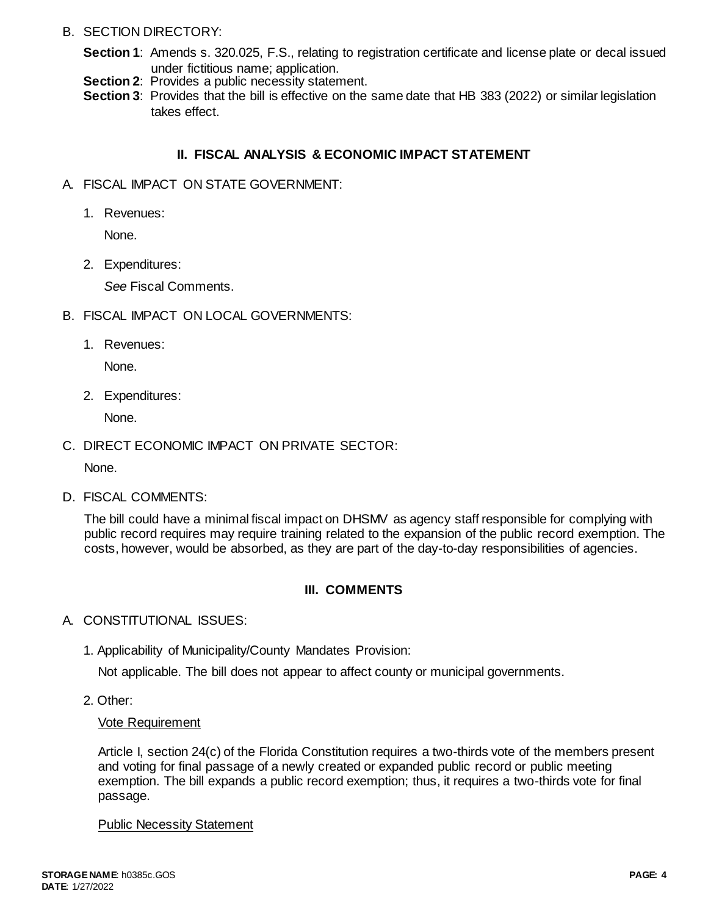### B. SECTION DIRECTORY:

- **Section 1**: Amends s. 320.025, F.S., relating to registration certificate and license plate or decal issued under fictitious name; application.
- **Section 2:** Provides a public necessity statement.
- **Section 3**: Provides that the bill is effective on the same date that HB 383 (2022) or similar legislation takes effect.

### **II. FISCAL ANALYSIS & ECONOMIC IMPACT STATEMENT**

- A. FISCAL IMPACT ON STATE GOVERNMENT:
	- 1. Revenues:

None.

2. Expenditures:

*See* Fiscal Comments.

- B. FISCAL IMPACT ON LOCAL GOVERNMENTS:
	- 1. Revenues:

None.

2. Expenditures:

None.

C. DIRECT ECONOMIC IMPACT ON PRIVATE SECTOR:

None.

D. FISCAL COMMENTS:

The bill could have a minimal fiscal impact on DHSMV as agency staff responsible for complying with public record requires may require training related to the expansion of the public record exemption. The costs, however, would be absorbed, as they are part of the day-to-day responsibilities of agencies.

# **III. COMMENTS**

- A. CONSTITUTIONAL ISSUES:
	- 1. Applicability of Municipality/County Mandates Provision:

Not applicable. The bill does not appear to affect county or municipal governments.

2. Other:

### Vote Requirement

Article I, section 24(c) of the Florida Constitution requires a two-thirds vote of the members present and voting for final passage of a newly created or expanded public record or public meeting exemption. The bill expands a public record exemption; thus, it requires a two-thirds vote for final passage.

Public Necessity Statement